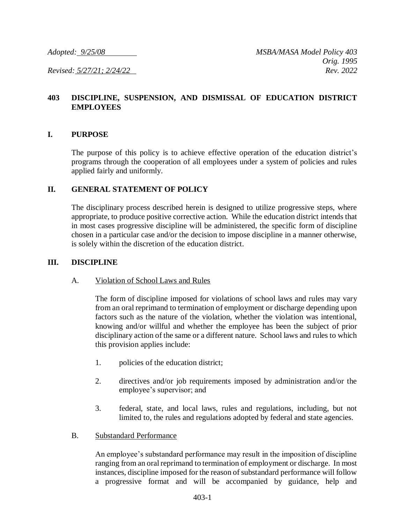# **403 DISCIPLINE, SUSPENSION, AND DISMISSAL OF EDUCATION DISTRICT EMPLOYEES**

#### **I. PURPOSE**

The purpose of this policy is to achieve effective operation of the education district's programs through the cooperation of all employees under a system of policies and rules applied fairly and uniformly.

#### **II. GENERAL STATEMENT OF POLICY**

The disciplinary process described herein is designed to utilize progressive steps, where appropriate, to produce positive corrective action. While the education district intends that in most cases progressive discipline will be administered, the specific form of discipline chosen in a particular case and/or the decision to impose discipline in a manner otherwise, is solely within the discretion of the education district.

#### **III. DISCIPLINE**

## A. Violation of School Laws and Rules

The form of discipline imposed for violations of school laws and rules may vary from an oral reprimand to termination of employment or discharge depending upon factors such as the nature of the violation, whether the violation was intentional, knowing and/or willful and whether the employee has been the subject of prior disciplinary action of the same or a different nature. School laws and rules to which this provision applies include:

- 1. policies of the education district;
- 2. directives and/or job requirements imposed by administration and/or the employee's supervisor; and
- 3. federal, state, and local laws, rules and regulations, including, but not limited to, the rules and regulations adopted by federal and state agencies.
- B. Substandard Performance

An employee's substandard performance may result in the imposition of discipline ranging from an oral reprimand to termination of employment or discharge. In most instances, discipline imposed for the reason of substandard performance will follow a progressive format and will be accompanied by guidance, help and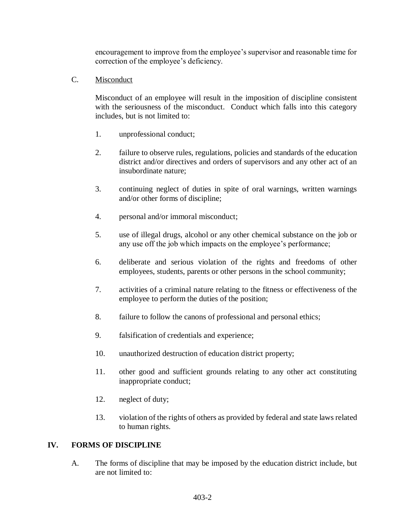encouragement to improve from the employee's supervisor and reasonable time for correction of the employee's deficiency.

C. Misconduct

Misconduct of an employee will result in the imposition of discipline consistent with the seriousness of the misconduct. Conduct which falls into this category includes, but is not limited to:

- 1. unprofessional conduct;
- 2. failure to observe rules, regulations, policies and standards of the education district and/or directives and orders of supervisors and any other act of an insubordinate nature;
- 3. continuing neglect of duties in spite of oral warnings, written warnings and/or other forms of discipline;
- 4. personal and/or immoral misconduct;
- 5. use of illegal drugs, alcohol or any other chemical substance on the job or any use off the job which impacts on the employee's performance;
- 6. deliberate and serious violation of the rights and freedoms of other employees, students, parents or other persons in the school community;
- 7. activities of a criminal nature relating to the fitness or effectiveness of the employee to perform the duties of the position;
- 8. failure to follow the canons of professional and personal ethics;
- 9. falsification of credentials and experience;
- 10. unauthorized destruction of education district property;
- 11. other good and sufficient grounds relating to any other act constituting inappropriate conduct;
- 12. neglect of duty;
- 13. violation of the rights of others as provided by federal and state laws related to human rights.

## **IV. FORMS OF DISCIPLINE**

A. The forms of discipline that may be imposed by the education district include, but are not limited to: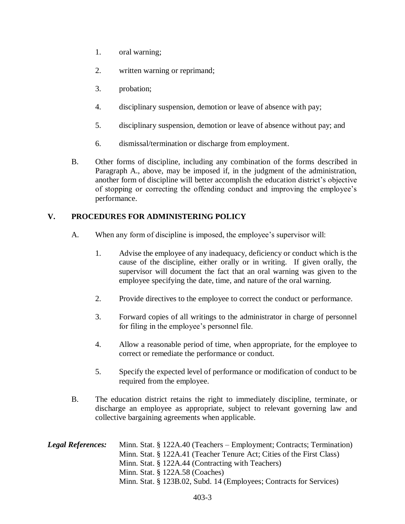- 1. oral warning;
- 2. written warning or reprimand;
- 3. probation;
- 4. disciplinary suspension, demotion or leave of absence with pay;
- 5. disciplinary suspension, demotion or leave of absence without pay; and
- 6. dismissal/termination or discharge from employment.
- B. Other forms of discipline, including any combination of the forms described in Paragraph A., above, may be imposed if, in the judgment of the administration, another form of discipline will better accomplish the education district's objective of stopping or correcting the offending conduct and improving the employee's performance.

# **V. PROCEDURES FOR ADMINISTERING POLICY**

- A. When any form of discipline is imposed, the employee's supervisor will:
	- 1. Advise the employee of any inadequacy, deficiency or conduct which is the cause of the discipline, either orally or in writing. If given orally, the supervisor will document the fact that an oral warning was given to the employee specifying the date, time, and nature of the oral warning.
	- 2. Provide directives to the employee to correct the conduct or performance.
	- 3. Forward copies of all writings to the administrator in charge of personnel for filing in the employee's personnel file.
	- 4. Allow a reasonable period of time, when appropriate, for the employee to correct or remediate the performance or conduct.
	- 5. Specify the expected level of performance or modification of conduct to be required from the employee.
- B. The education district retains the right to immediately discipline, terminate, or discharge an employee as appropriate, subject to relevant governing law and collective bargaining agreements when applicable.

| <b>Legal References:</b> | Minn. Stat. § 122A.40 (Teachers – Employment; Contracts; Termination) |
|--------------------------|-----------------------------------------------------------------------|
|                          | Minn. Stat. § 122A.41 (Teacher Tenure Act; Cities of the First Class) |
|                          | Minn. Stat. § 122A.44 (Contracting with Teachers)                     |
|                          | Minn. Stat. $\S$ 122A.58 (Coaches)                                    |
|                          | Minn. Stat. § 123B.02, Subd. 14 (Employees; Contracts for Services)   |